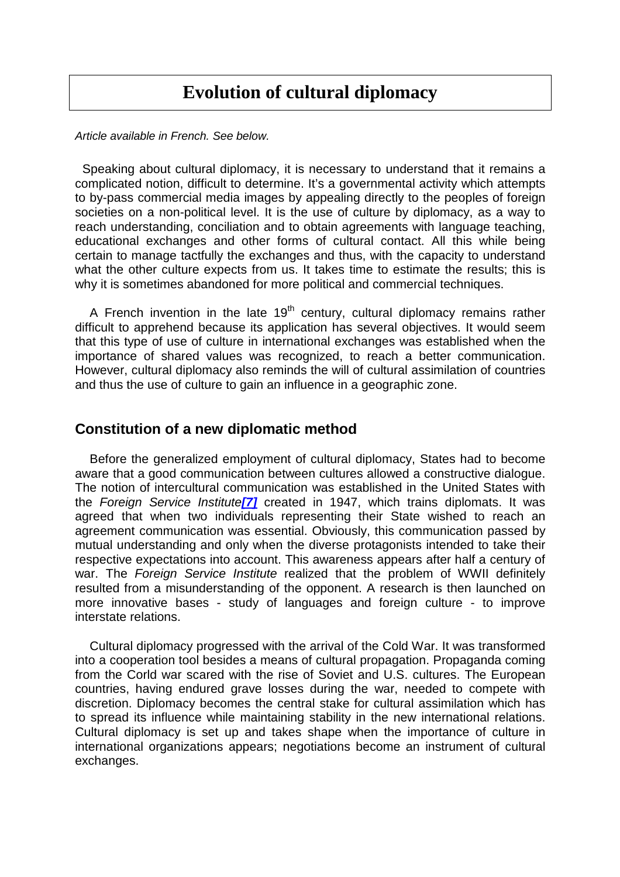## **Evolution of cultural diplomacy**

Article available in French. See below.

 Speaking about cultural diplomacy, it is necessary to understand that it remains a complicated notion, difficult to determine. It's a governmental activity which attempts to by-pass commercial media images by appealing directly to the peoples of foreign societies on a non-political level. It is the use of culture by diplomacy, as a way to reach understanding, conciliation and to obtain agreements with language teaching, educational exchanges and other forms of cultural contact. All this while being certain to manage tactfully the exchanges and thus, with the capacity to understand what the other culture expects from us. It takes time to estimate the results; this is why it is sometimes abandoned for more political and commercial techniques.

A French invention in the late 19<sup>th</sup> century, cultural diplomacy remains rather difficult to apprehend because its application has several objectives. It would seem that this type of use of culture in international exchanges was established when the importance of shared values was recognized, to reach a better communication. However, cultural diplomacy also reminds the will of cultural assimilation of countries and thus the use of culture to gain an influence in a geographic zone.

### **Constitution of a new diplomatic method**

Before the generalized employment of cultural diplomacy, States had to become aware that a good communication between cultures allowed a constructive dialogue. The notion of intercultural communication was established in the United States with the Foreign Service Institute**[7]** created in 1947, which trains diplomats. It was agreed that when two individuals representing their State wished to reach an agreement communication was essential. Obviously, this communication passed by mutual understanding and only when the diverse protagonists intended to take their respective expectations into account. This awareness appears after half a century of war. The Foreign Service Institute realized that the problem of WWII definitely resulted from a misunderstanding of the opponent. A research is then launched on more innovative bases - study of languages and foreign culture - to improve interstate relations.

Cultural diplomacy progressed with the arrival of the Cold War. It was transformed into a cooperation tool besides a means of cultural propagation. Propaganda coming from the Corld war scared with the rise of Soviet and U.S. cultures. The European countries, having endured grave losses during the war, needed to compete with discretion. Diplomacy becomes the central stake for cultural assimilation which has to spread its influence while maintaining stability in the new international relations. Cultural diplomacy is set up and takes shape when the importance of culture in international organizations appears; negotiations become an instrument of cultural exchanges.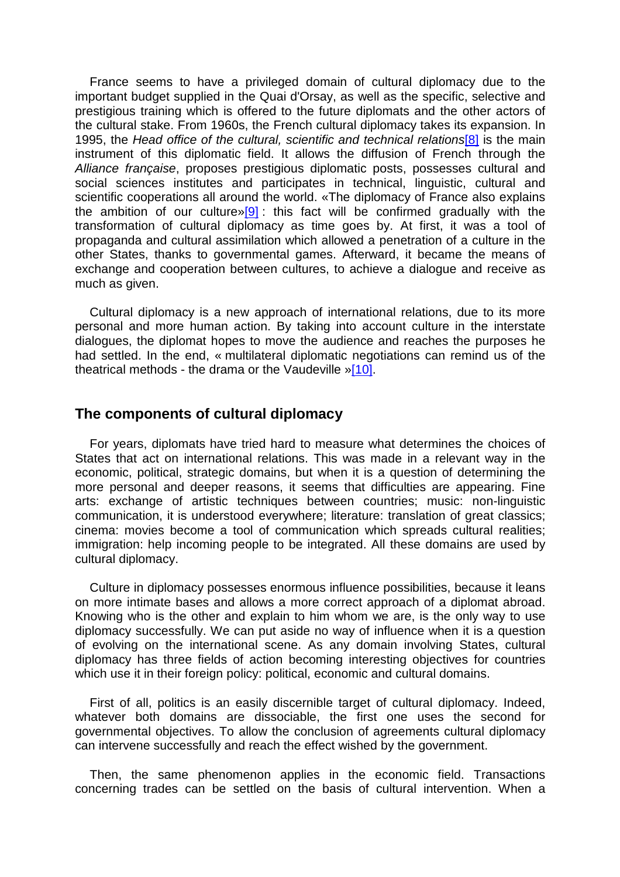France seems to have a privileged domain of cultural diplomacy due to the important budget supplied in the Quai d'Orsay, as well as the specific, selective and prestigious training which is offered to the future diplomats and the other actors of the cultural stake. From 1960s, the French cultural diplomacy takes its expansion. In 1995, the Head office of the cultural, scientific and technical relations<sup>[8]</sup> is the main instrument of this diplomatic field. It allows the diffusion of French through the Alliance française, proposes prestigious diplomatic posts, possesses cultural and social sciences institutes and participates in technical, linguistic, cultural and scientific cooperations all around the world. «The diplomacy of France also explains the ambition of our culture»[9]: this fact will be confirmed gradually with the transformation of cultural diplomacy as time goes by. At first, it was a tool of propaganda and cultural assimilation which allowed a penetration of a culture in the other States, thanks to governmental games. Afterward, it became the means of exchange and cooperation between cultures, to achieve a dialogue and receive as much as given.

Cultural diplomacy is a new approach of international relations, due to its more personal and more human action. By taking into account culture in the interstate dialogues, the diplomat hopes to move the audience and reaches the purposes he had settled. In the end, « multilateral diplomatic negotiations can remind us of the theatrical methods - the drama or the Vaudeville »[10].

#### **The components of cultural diplomacy**

For years, diplomats have tried hard to measure what determines the choices of States that act on international relations. This was made in a relevant way in the economic, political, strategic domains, but when it is a question of determining the more personal and deeper reasons, it seems that difficulties are appearing. Fine arts: exchange of artistic techniques between countries; music: non-linguistic communication, it is understood everywhere; literature: translation of great classics; cinema: movies become a tool of communication which spreads cultural realities; immigration: help incoming people to be integrated. All these domains are used by cultural diplomacy.

Culture in diplomacy possesses enormous influence possibilities, because it leans on more intimate bases and allows a more correct approach of a diplomat abroad. Knowing who is the other and explain to him whom we are, is the only way to use diplomacy successfully. We can put aside no way of influence when it is a question of evolving on the international scene. As any domain involving States, cultural diplomacy has three fields of action becoming interesting objectives for countries which use it in their foreign policy: political, economic and cultural domains.

First of all, politics is an easily discernible target of cultural diplomacy. Indeed, whatever both domains are dissociable, the first one uses the second for governmental objectives. To allow the conclusion of agreements cultural diplomacy can intervene successfully and reach the effect wished by the government.

Then, the same phenomenon applies in the economic field. Transactions concerning trades can be settled on the basis of cultural intervention. When a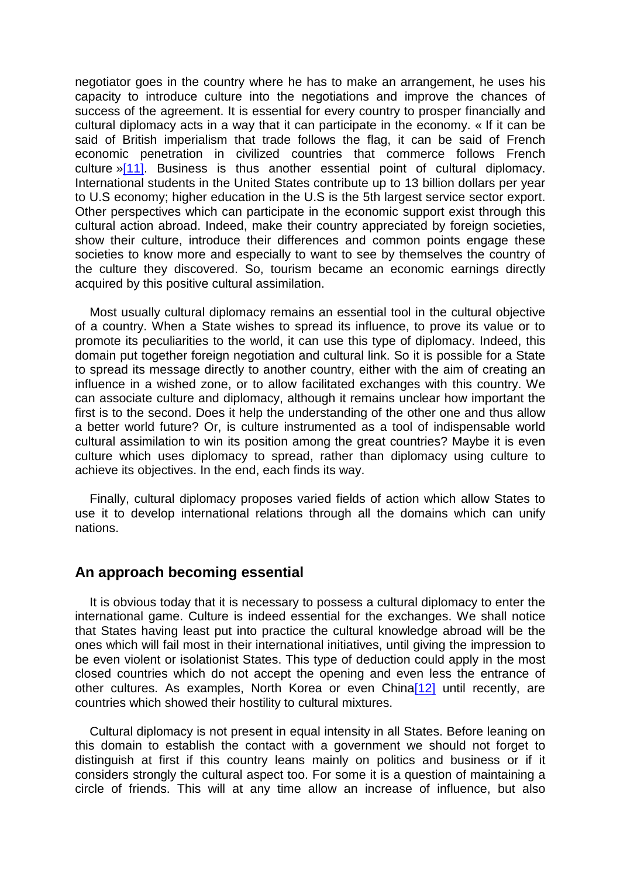negotiator goes in the country where he has to make an arrangement, he uses his capacity to introduce culture into the negotiations and improve the chances of success of the agreement. It is essential for every country to prosper financially and cultural diplomacy acts in a way that it can participate in the economy. « If it can be said of British imperialism that trade follows the flag, it can be said of French economic penetration in civilized countries that commerce follows French culture »[11]. Business is thus another essential point of cultural diplomacy. International students in the United States contribute up to 13 billion dollars per year to U.S economy; higher education in the U.S is the 5th largest service sector export. Other perspectives which can participate in the economic support exist through this cultural action abroad. Indeed, make their country appreciated by foreign societies, show their culture, introduce their differences and common points engage these societies to know more and especially to want to see by themselves the country of the culture they discovered. So, tourism became an economic earnings directly acquired by this positive cultural assimilation.

Most usually cultural diplomacy remains an essential tool in the cultural objective of a country. When a State wishes to spread its influence, to prove its value or to promote its peculiarities to the world, it can use this type of diplomacy. Indeed, this domain put together foreign negotiation and cultural link. So it is possible for a State to spread its message directly to another country, either with the aim of creating an influence in a wished zone, or to allow facilitated exchanges with this country. We can associate culture and diplomacy, although it remains unclear how important the first is to the second. Does it help the understanding of the other one and thus allow a better world future? Or, is culture instrumented as a tool of indispensable world cultural assimilation to win its position among the great countries? Maybe it is even culture which uses diplomacy to spread, rather than diplomacy using culture to achieve its objectives. In the end, each finds its way.

Finally, cultural diplomacy proposes varied fields of action which allow States to use it to develop international relations through all the domains which can unify nations.

### **An approach becoming essential**

It is obvious today that it is necessary to possess a cultural diplomacy to enter the international game. Culture is indeed essential for the exchanges. We shall notice that States having least put into practice the cultural knowledge abroad will be the ones which will fail most in their international initiatives, until giving the impression to be even violent or isolationist States. This type of deduction could apply in the most closed countries which do not accept the opening and even less the entrance of other cultures. As examples, North Korea or even China<sup>[12]</sup> until recently, are countries which showed their hostility to cultural mixtures.

Cultural diplomacy is not present in equal intensity in all States. Before leaning on this domain to establish the contact with a government we should not forget to distinguish at first if this country leans mainly on politics and business or if it considers strongly the cultural aspect too. For some it is a question of maintaining a circle of friends. This will at any time allow an increase of influence, but also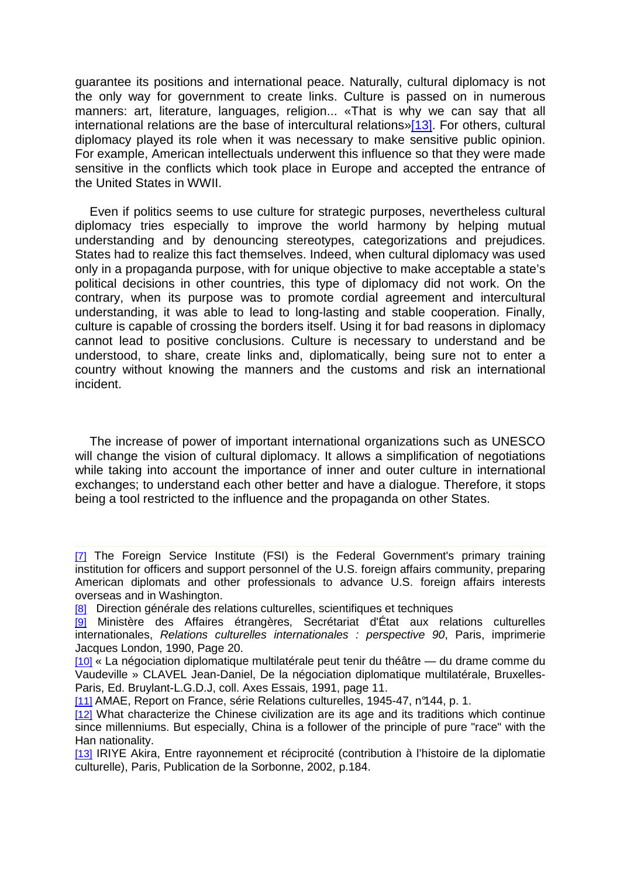guarantee its positions and international peace. Naturally, cultural diplomacy is not the only way for government to create links. Culture is passed on in numerous manners: art, literature, languages, religion... «That is why we can say that all international relations are the base of intercultural relations»[13]. For others, cultural diplomacy played its role when it was necessary to make sensitive public opinion. For example, American intellectuals underwent this influence so that they were made sensitive in the conflicts which took place in Europe and accepted the entrance of the United States in WWII.

Even if politics seems to use culture for strategic purposes, nevertheless cultural diplomacy tries especially to improve the world harmony by helping mutual understanding and by denouncing stereotypes, categorizations and prejudices. States had to realize this fact themselves. Indeed, when cultural diplomacy was used only in a propaganda purpose, with for unique objective to make acceptable a state's political decisions in other countries, this type of diplomacy did not work. On the contrary, when its purpose was to promote cordial agreement and intercultural understanding, it was able to lead to long-lasting and stable cooperation. Finally, culture is capable of crossing the borders itself. Using it for bad reasons in diplomacy cannot lead to positive conclusions. Culture is necessary to understand and be understood, to share, create links and, diplomatically, being sure not to enter a country without knowing the manners and the customs and risk an international incident.

The increase of power of important international organizations such as UNESCO will change the vision of cultural diplomacy. It allows a simplification of negotiations while taking into account the importance of inner and outer culture in international exchanges; to understand each other better and have a dialogue. Therefore, it stops being a tool restricted to the influence and the propaganda on other States.

- [8] Direction générale des relations culturelles, scientifiques et techniques
- [9] Ministère des Affaires étrangères, Secrétariat d'État aux relations culturelles internationales, Relations culturelles internationales : perspective 90, Paris, imprimerie Jacques London, 1990, Page 20.
- [10] « La négociation diplomatique multilatérale peut tenir du théâtre du drame comme du Vaudeville » CLAVEL Jean-Daniel, De la négociation diplomatique multilatérale, Bruxelles-Paris, Ed. Bruylant-L.G.D.J, coll. Axes Essais, 1991, page 11.
- [11] AMAE, Report on France, série Relations culturelles, 1945-47, n°144, p. 1.
- [12] What characterize the Chinese civilization are its age and its traditions which continue since millenniums. But especially, China is a follower of the principle of pure "race" with the Han nationality.
- [13] IRIYE Akira, Entre rayonnement et réciprocité (contribution à l'histoire de la diplomatie culturelle), Paris, Publication de la Sorbonne, 2002, p.184.

<sup>[7]</sup> The Foreign Service Institute (FSI) is the Federal Government's primary training institution for officers and support personnel of the U.S. foreign affairs community, preparing American diplomats and other professionals to advance U.S. foreign affairs interests overseas and in Washington.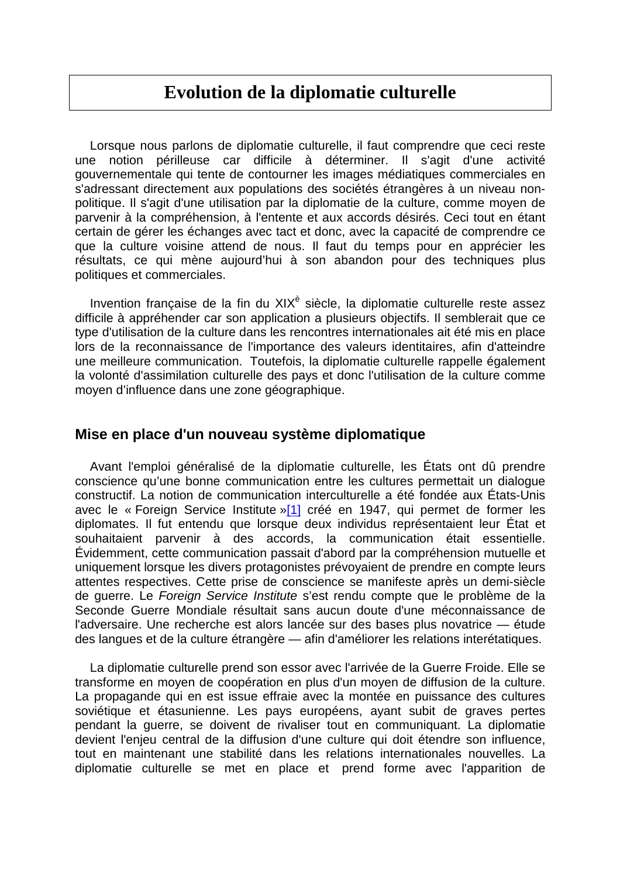# **Evolution de la diplomatie culturelle**

Lorsque nous parlons de diplomatie culturelle, il faut comprendre que ceci reste une notion périlleuse car difficile à déterminer. Il s'agit d'une activité gouvernementale qui tente de contourner les images médiatiques commerciales en s'adressant directement aux populations des sociétés étrangères à un niveau nonpolitique. Il s'agit d'une utilisation par la diplomatie de la culture, comme moyen de parvenir à la compréhension, à l'entente et aux accords désirés. Ceci tout en étant certain de gérer les échanges avec tact et donc, avec la capacité de comprendre ce que la culture voisine attend de nous. Il faut du temps pour en apprécier les résultats, ce qui mène aujourd'hui à son abandon pour des techniques plus politiques et commerciales.

Invention française de la fin du XIX<sup>è</sup> siècle, la diplomatie culturelle reste assez difficile à appréhender car son application a plusieurs objectifs. Il semblerait que ce type d'utilisation de la culture dans les rencontres internationales ait été mis en place lors de la reconnaissance de l'importance des valeurs identitaires, afin d'atteindre une meilleure communication. Toutefois, la diplomatie culturelle rappelle également la volonté d'assimilation culturelle des pays et donc l'utilisation de la culture comme moyen d'influence dans une zone géographique.

### **Mise en place d'un nouveau système diplomatique**

Avant l'emploi généralisé de la diplomatie culturelle, les États ont dû prendre conscience qu'une bonne communication entre les cultures permettait un dialogue constructif. La notion de communication interculturelle a été fondée aux États-Unis avec le « Foreign Service Institute »[1] créé en 1947, qui permet de former les diplomates. Il fut entendu que lorsque deux individus représentaient leur État et souhaitaient parvenir à des accords, la communication était essentielle. Évidemment, cette communication passait d'abord par la compréhension mutuelle et uniquement lorsque les divers protagonistes prévoyaient de prendre en compte leurs attentes respectives. Cette prise de conscience se manifeste après un demi-siècle de guerre. Le Foreign Service Institute s'est rendu compte que le problème de la Seconde Guerre Mondiale résultait sans aucun doute d'une méconnaissance de l'adversaire. Une recherche est alors lancée sur des bases plus novatrice — étude des langues et de la culture étrangère — afin d'améliorer les relations interétatiques.

La diplomatie culturelle prend son essor avec l'arrivée de la Guerre Froide. Elle se transforme en moyen de coopération en plus d'un moyen de diffusion de la culture. La propagande qui en est issue effraie avec la montée en puissance des cultures soviétique et étasunienne. Les pays européens, ayant subit de graves pertes pendant la guerre, se doivent de rivaliser tout en communiquant. La diplomatie devient l'enjeu central de la diffusion d'une culture qui doit étendre son influence, tout en maintenant une stabilité dans les relations internationales nouvelles. La diplomatie culturelle se met en place et prend forme avec l'apparition de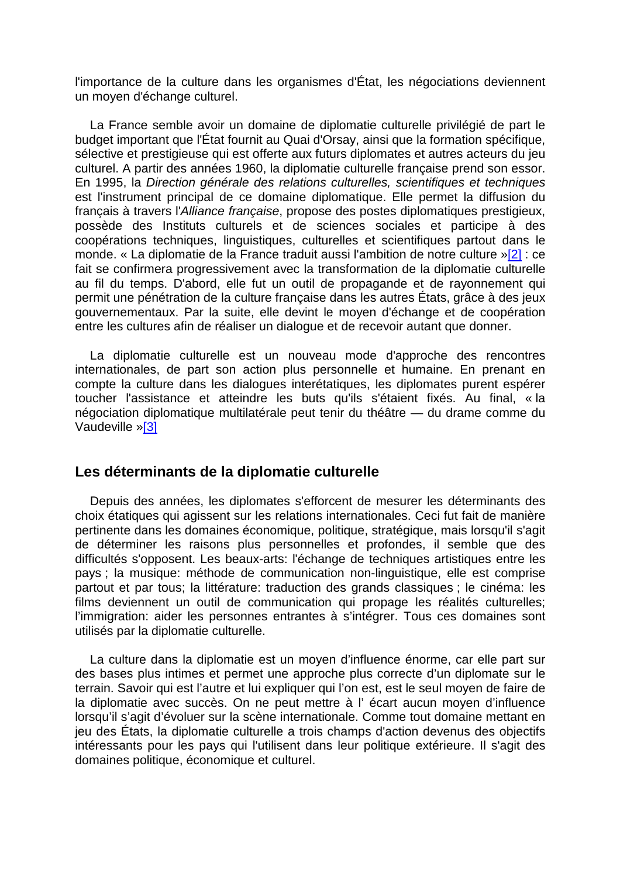l'importance de la culture dans les organismes d'État, les négociations deviennent un moyen d'échange culturel.

La France semble avoir un domaine de diplomatie culturelle privilégié de part le budget important que l'État fournit au Quai d'Orsay, ainsi que la formation spécifique, sélective et prestigieuse qui est offerte aux futurs diplomates et autres acteurs du jeu culturel. A partir des années 1960, la diplomatie culturelle française prend son essor. En 1995, la Direction générale des relations culturelles, scientifiques et techniques est l'instrument principal de ce domaine diplomatique. Elle permet la diffusion du français à travers l'Alliance française, propose des postes diplomatiques prestigieux, possède des Instituts culturels et de sciences sociales et participe à des coopérations techniques, linguistiques, culturelles et scientifiques partout dans le monde. « La diplomatie de la France traduit aussi l'ambition de notre culture »[2] : ce fait se confirmera progressivement avec la transformation de la diplomatie culturelle au fil du temps. D'abord, elle fut un outil de propagande et de rayonnement qui permit une pénétration de la culture française dans les autres États, grâce à des jeux gouvernementaux. Par la suite, elle devint le moyen d'échange et de coopération entre les cultures afin de réaliser un dialogue et de recevoir autant que donner.

La diplomatie culturelle est un nouveau mode d'approche des rencontres internationales, de part son action plus personnelle et humaine. En prenant en compte la culture dans les dialogues interétatiques, les diplomates purent espérer toucher l'assistance et atteindre les buts qu'ils s'étaient fixés. Au final, « la négociation diplomatique multilatérale peut tenir du théâtre — du drame comme du Vaudeville »[3]

### **Les déterminants de la diplomatie culturelle**

Depuis des années, les diplomates s'efforcent de mesurer les déterminants des choix étatiques qui agissent sur les relations internationales. Ceci fut fait de manière pertinente dans les domaines économique, politique, stratégique, mais lorsqu'il s'agit de déterminer les raisons plus personnelles et profondes, il semble que des difficultés s'opposent. Les beaux-arts: l'échange de techniques artistiques entre les pays ; la musique: méthode de communication non-linguistique, elle est comprise partout et par tous; la littérature: traduction des grands classiques ; le cinéma: les films deviennent un outil de communication qui propage les réalités culturelles; l'immigration: aider les personnes entrantes à s'intégrer. Tous ces domaines sont utilisés par la diplomatie culturelle.

La culture dans la diplomatie est un moyen d'influence énorme, car elle part sur des bases plus intimes et permet une approche plus correcte d'un diplomate sur le terrain. Savoir qui est l'autre et lui expliquer qui l'on est, est le seul moyen de faire de la diplomatie avec succès. On ne peut mettre à l' écart aucun moyen d'influence lorsqu'il s'agit d'évoluer sur la scène internationale. Comme tout domaine mettant en jeu des États, la diplomatie culturelle a trois champs d'action devenus des objectifs intéressants pour les pays qui l'utilisent dans leur politique extérieure. Il s'agit des domaines politique, économique et culturel.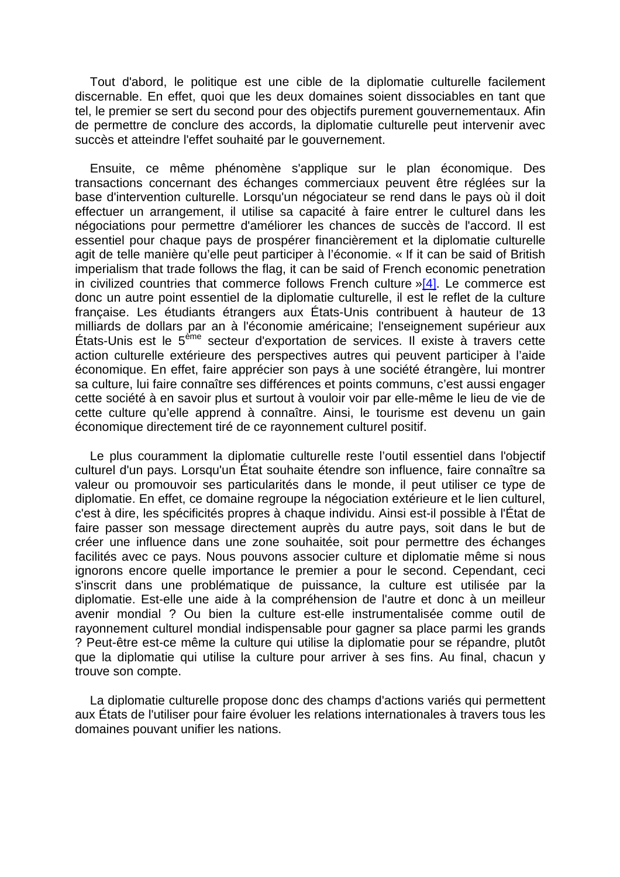Tout d'abord, le politique est une cible de la diplomatie culturelle facilement discernable. En effet, quoi que les deux domaines soient dissociables en tant que tel, le premier se sert du second pour des objectifs purement gouvernementaux. Afin de permettre de conclure des accords, la diplomatie culturelle peut intervenir avec succès et atteindre l'effet souhaité par le gouvernement.

Ensuite, ce même phénomène s'applique sur le plan économique. Des transactions concernant des échanges commerciaux peuvent être réglées sur la base d'intervention culturelle. Lorsqu'un négociateur se rend dans le pays où il doit effectuer un arrangement, il utilise sa capacité à faire entrer le culturel dans les négociations pour permettre d'améliorer les chances de succès de l'accord. Il est essentiel pour chaque pays de prospérer financièrement et la diplomatie culturelle agit de telle manière qu'elle peut participer à l'économie. « If it can be said of British imperialism that trade follows the flag, it can be said of French economic penetration in civilized countries that commerce follows French culture  $\sqrt{4}$ . Le commerce est donc un autre point essentiel de la diplomatie culturelle, il est le reflet de la culture française. Les étudiants étrangers aux États-Unis contribuent à hauteur de 13 milliards de dollars par an à l'économie américaine; l'enseignement supérieur aux États-Unis est le 5ème secteur d'exportation de services. Il existe à travers cette action culturelle extérieure des perspectives autres qui peuvent participer à l'aide économique. En effet, faire apprécier son pays à une société étrangère, lui montrer sa culture, lui faire connaître ses différences et points communs, c'est aussi engager cette société à en savoir plus et surtout à vouloir voir par elle-même le lieu de vie de cette culture qu'elle apprend à connaître. Ainsi, le tourisme est devenu un gain économique directement tiré de ce rayonnement culturel positif.

Le plus couramment la diplomatie culturelle reste l'outil essentiel dans l'objectif culturel d'un pays. Lorsqu'un État souhaite étendre son influence, faire connaître sa valeur ou promouvoir ses particularités dans le monde, il peut utiliser ce type de diplomatie. En effet, ce domaine regroupe la négociation extérieure et le lien culturel, c'est à dire, les spécificités propres à chaque individu. Ainsi est-il possible à l'État de faire passer son message directement auprès du autre pays, soit dans le but de créer une influence dans une zone souhaitée, soit pour permettre des échanges facilités avec ce pays. Nous pouvons associer culture et diplomatie même si nous ignorons encore quelle importance le premier a pour le second. Cependant, ceci s'inscrit dans une problématique de puissance, la culture est utilisée par la diplomatie. Est-elle une aide à la compréhension de l'autre et donc à un meilleur avenir mondial ? Ou bien la culture est-elle instrumentalisée comme outil de rayonnement culturel mondial indispensable pour gagner sa place parmi les grands ? Peut-être est-ce même la culture qui utilise la diplomatie pour se répandre, plutôt que la diplomatie qui utilise la culture pour arriver à ses fins. Au final, chacun y trouve son compte.

La diplomatie culturelle propose donc des champs d'actions variés qui permettent aux États de l'utiliser pour faire évoluer les relations internationales à travers tous les domaines pouvant unifier les nations.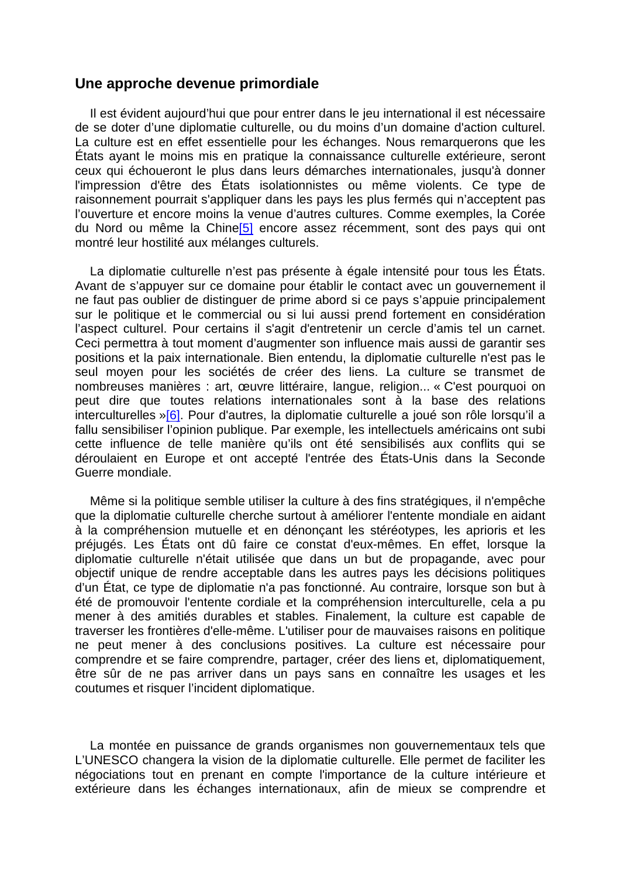### **Une approche devenue primordiale**

Il est évident aujourd'hui que pour entrer dans le jeu international il est nécessaire de se doter d'une diplomatie culturelle, ou du moins d'un domaine d'action culturel. La culture est en effet essentielle pour les échanges. Nous remarquerons que les États ayant le moins mis en pratique la connaissance culturelle extérieure, seront ceux qui échoueront le plus dans leurs démarches internationales, jusqu'à donner l'impression d'être des États isolationnistes ou même violents. Ce type de raisonnement pourrait s'appliquer dans les pays les plus fermés qui n'acceptent pas l'ouverture et encore moins la venue d'autres cultures. Comme exemples, la Corée du Nord ou même la Chine<sup>[5]</sup> encore assez récemment, sont des pays qui ont montré leur hostilité aux mélanges culturels.

La diplomatie culturelle n'est pas présente à égale intensité pour tous les États. Avant de s'appuyer sur ce domaine pour établir le contact avec un gouvernement il ne faut pas oublier de distinguer de prime abord si ce pays s'appuie principalement sur le politique et le commercial ou si lui aussi prend fortement en considération l'aspect culturel. Pour certains il s'agit d'entretenir un cercle d'amis tel un carnet. Ceci permettra à tout moment d'augmenter son influence mais aussi de garantir ses positions et la paix internationale. Bien entendu, la diplomatie culturelle n'est pas le seul moyen pour les sociétés de créer des liens. La culture se transmet de nombreuses manières : art, œuvre littéraire, langue, religion... « C'est pourquoi on peut dire que toutes relations internationales sont à la base des relations interculturelles »[6]. Pour d'autres, la diplomatie culturelle a joué son rôle lorsqu'il a fallu sensibiliser l'opinion publique. Par exemple, les intellectuels américains ont subi cette influence de telle manière qu'ils ont été sensibilisés aux conflits qui se déroulaient en Europe et ont accepté l'entrée des États-Unis dans la Seconde Guerre mondiale.

Même si la politique semble utiliser la culture à des fins stratégiques, il n'empêche que la diplomatie culturelle cherche surtout à améliorer l'entente mondiale en aidant à la compréhension mutuelle et en dénonçant les stéréotypes, les aprioris et les préjugés. Les États ont dû faire ce constat d'eux-mêmes. En effet, lorsque la diplomatie culturelle n'était utilisée que dans un but de propagande, avec pour objectif unique de rendre acceptable dans les autres pays les décisions politiques d'un État, ce type de diplomatie n'a pas fonctionné. Au contraire, lorsque son but à été de promouvoir l'entente cordiale et la compréhension interculturelle, cela a pu mener à des amitiés durables et stables. Finalement, la culture est capable de traverser les frontières d'elle-même. L'utiliser pour de mauvaises raisons en politique ne peut mener à des conclusions positives. La culture est nécessaire pour comprendre et se faire comprendre, partager, créer des liens et, diplomatiquement, être sûr de ne pas arriver dans un pays sans en connaître les usages et les coutumes et risquer l'incident diplomatique.

La montée en puissance de grands organismes non gouvernementaux tels que L'UNESCO changera la vision de la diplomatie culturelle. Elle permet de faciliter les négociations tout en prenant en compte l'importance de la culture intérieure et extérieure dans les échanges internationaux, afin de mieux se comprendre et